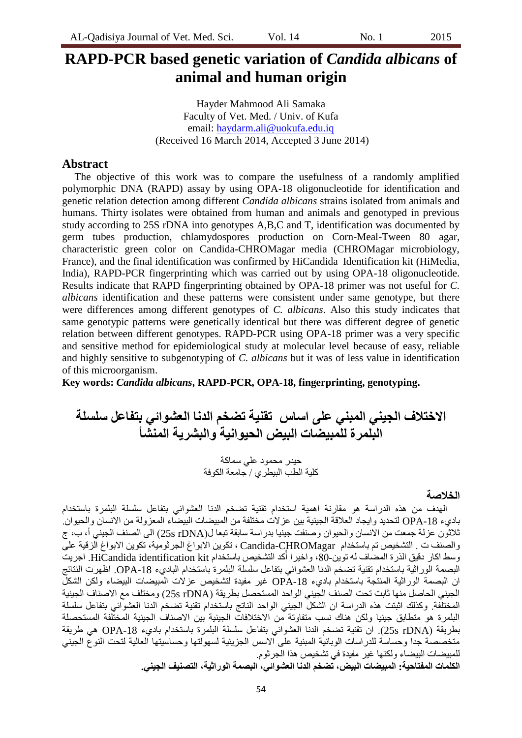# **RAPD-PCR based genetic variation of** *Candida albicans* **of animal and human origin**

Hayder Mahmood Ali Samaka Faculty of Vet. Med. / Univ. of Kufa email: [haydarm.ali@uokufa.edu.iq](mailto:haydarm.ali@uokufa.edu.iq) (Received 16 March 2014, Accepted 3 June 2014)

## **Abstract**

The objective of this work was to compare the usefulness of a randomly amplified polymorphic DNA (RAPD) assay by using OPA-18 oligonucleotide for identification and genetic relation detection among different *Candida albicans* strains isolated from animals and humans. Thirty isolates were obtained from human and animals and genotyped in previous study according to 25S rDNA into genotypes A,B,C and T, identification was documented by germ tubes production, chlamydospores production on Corn-Meal-Tween 80 agar, characteristic green color on Candida-CHROMagar media (CHROMagar microbiology, France), and the final identification was confirmed by HiCandida Identification kit (HiMedia, India), RAPD-PCR fingerprinting which was carried out by using OPA-18 oligonucleotide. Results indicate that RAPD fingerprinting obtained by OPA-18 primer was not useful for *C. albicans* identification and these patterns were consistent under same genotype, but there were differences among different genotypes of *C. albicans*. Also this study indicates that same genotypic patterns were genetically identical but there was different degree of genetic relation between different genotypes. RAPD-PCR using OPA-18 primer was a very specific and sensitive method for epidemiological study at molecular level because of easy, reliable and highly sensitive to subgenotyping of *C. albicans* but it was of less value in identification of this microorganism.

**Key words:** *Candida albicans***, RAPD-PCR, OPA-18, fingerprinting, genotyping.**

**االختالف الجيني المبني على اساس تقنيت تضخم الدنا العشوائي بتفاعل سلسلت البلمرة للمبيضاث البيض الحيوانيت والبشريت المنشأ** حيدر محمود عل*ي* سماكة

كلية الطب البيطري / جامعة الكوفة

### **الخالصت**

المهدف من هذه الدراسة هو مقارنة اهمية استخدام تقنية تضخم الدنا العشوائي بتفاعل سلسلة البلمرة باستخدام باديء 18-OPA لتحديد وايجاد العلاقة الجينية بين عزلات مختلفة من المبيضبات البيضباء المعزولة من الانسان والحيوان. ثلاثُون عزلة جمعت من الانسان والحيوان وصنفت جينيا بدراسة سابقة تبعا ل(25s rDNA الى الصنف الجيني أ، ب، ج والصنف ت . التشخيص تم باستخدام Candida-CHROMagar ، تكوين الابواغ الجرثومية، تكوين الابواغ الزقية على وسط اكار دقيق الذرة المضاف له توين-80، واخيرا أكد التشخيص باستخدام HiCandida identification kit. اجريت البصمة الوراثية باستخدام تقنية تضخم الدنا العشوائي بتفاعل سلسلة البلمرة باستخدام الباديء OPA-18. اظهرت النتائج ان البصمة الوراثية المُنتجة باستخدام باديء OPA-18 غير مُفيدة لتشخيص عزلات الْمبيضبات البيضباء ولكن الشكل الجيني الحاصل منها ثابت تحت الصنف الجيني الواحد المستحصل بطريقة (25s rDNA) ومختلف مع الاصناف الجينية المختلّفة. وكذلك اثبتت هذه الدراسة ان الشكل الجينى الواحد الناتج باستخدام تقنية تضخم الدنا العشوائي بتفاعل سلسلة البلمرة هو متطابق جينيا ولكن هناك نسب متفاوتة من الاختلافات الجينية بين الاصناف الجينية المختلفة المستحصلة بطريقة (25s rDNA). ان تقنية تضخّم الدنا العشوائي بتفاعل سلسلة البلمرة باستخدام باديء OPA-18 هي طريقة متخصصة جدا وحساسة للدراسات الوبائية المبنية على الاسس الجزيئية لسهولتها وحساسيتها العالية لتحت النوع الجيني للمبيضبات البيضباء ولكنها غير مفيدة في تشخيص هذا الجرثوم

**الكلماث المفتاحيت: المبيضاث البيض، تضخم الدنا العشوائي، البصمت الوراثيت، التصنيف الجيني.**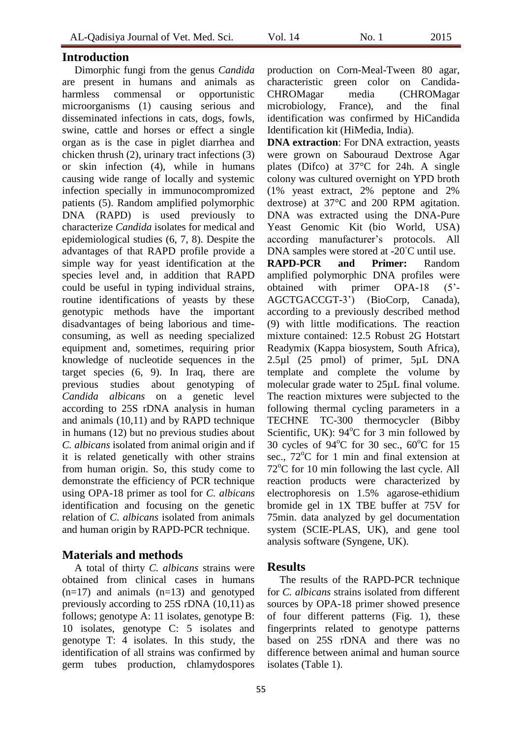# **Introduction**

Dimorphic fungi from the genus *Candida* are present in humans and animals as harmless commensal or opportunistic microorganisms (1) causing serious and disseminated infections in cats, dogs, fowls, swine, cattle and horses or effect a single organ as is the case in piglet diarrhea and chicken thrush (2), urinary tract infections (3) or skin infection (4), while in humans causing wide range of locally and systemic infection specially in immunocompromized patients (5). Random amplified polymorphic DNA (RAPD) is used previously to characterize *Candida* isolates for medical and epidemiological studies (6, 7, 8). Despite the advantages of that RAPD profile provide a simple way for yeast identification at the species level and, in addition that RAPD could be useful in typing individual strains, routine identifications of yeasts by these genotypic methods have the important disadvantages of being laborious and timeconsuming, as well as needing specialized equipment and, sometimes, requiring prior knowledge of nucleotide sequences in the target species (6, 9). In Iraq, there are previous studies about genotyping of *Candida albicans* on a genetic level according to 25S rDNA analysis in human and animals (10,11) and by RAPD technique in humans (12) but no previous studies about *C. albicans* isolated from animal origin and if it is related genetically with other strains from human origin. So, this study come to demonstrate the efficiency of PCR technique using OPA-18 primer as tool for *C. albicans* identification and focusing on the genetic relation of *C. albicans* isolated from animals and human origin by RAPD-PCR technique.

# **Materials and methods**

A total of thirty *C. albicans* strains were obtained from clinical cases in humans  $(n=17)$  and animals  $(n=13)$  and genotyped previously according to 25S rDNA (10,11) as follows; genotype A: 11 isolates, genotype B: 10 isolates, genotype C: 5 isolates and genotype T: 4 isolates. In this study, the identification of all strains was confirmed by germ tubes production, chlamydospores production on Corn-Meal-Tween 80 agar, characteristic green color on Candida-CHROMagar media (CHROMagar microbiology, France), and the final identification was confirmed by HiCandida Identification kit (HiMedia, India).

**DNA extraction**: For DNA extraction, yeasts were grown on Sabouraud Dextrose Agar plates (Difco) at 37°C for 24h. A single colony was cultured overnight on YPD broth (1% yeast extract, 2% peptone and 2% dextrose) at 37°C and 200 RPM agitation. DNA was extracted using the DNA-Pure Yeast Genomic Kit (bio World, USA) according manufacturer's protocols. All DNA samples were stored at -20<sup>°</sup>C until use.

**RAPD-PCR and Primer:** Random amplified polymorphic DNA profiles were obtained with primer OPA-18 (5'- AGCTGACCGT-3') (BioCorp, Canada), according to a previously described method (9) with little modifications. The reaction mixture contained: 12.5 Robust 2G Hotstart Readymix (Kappa biosystem, South Africa), 2.5µl (25 pmol) of primer, 5µL DNA template and complete the volume by molecular grade water to 25µL final volume. The reaction mixtures were subjected to the following thermal cycling parameters in a TECHNE TC-300 thermocycler (Bibby Scientific, UK):  $94^{\circ}$ C for 3 min followed by 30 cycles of  $94^{\circ}$ C for 30 sec.,  $60^{\circ}$ C for 15 sec.,  $72^{\circ}$ C for 1 min and final extension at  $72^{\circ}$ C for 10 min following the last cycle. All reaction products were characterized by electrophoresis on 1.5% agarose-ethidium bromide gel in 1X TBE buffer at 75V for 75min. data analyzed by gel documentation system (SCIE-PLAS, UK), and gene tool analysis software (Syngene, UK).

# **Results**

The results of the RAPD-PCR technique for *C. albicans* strains isolated from different sources by OPA-18 primer showed presence of four different patterns (Fig. 1), these fingerprints related to genotype patterns based on 25S rDNA and there was no difference between animal and human source isolates (Table 1).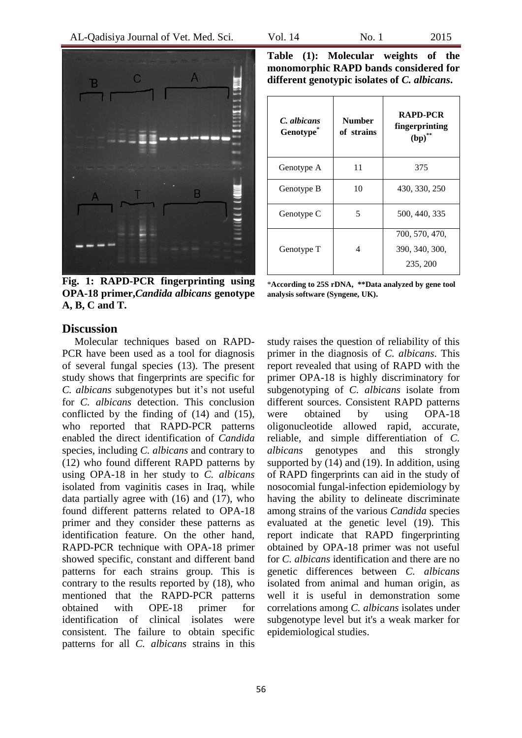

**Fig. 1: RAPD-PCR fingerprinting using OPA-18 primer,***Candida albicans* **genotype A, B, C and T.** 

**Table (1): Molecular weights of the monomorphic RAPD bands considered for different genotypic isolates of** *C. albicans***.**

| Number<br>of strains | <b>RAPD-PCR</b><br>fingerprinting<br>(bp)    |
|----------------------|----------------------------------------------|
| 11                   | 375                                          |
| 10                   | 430, 330, 250                                |
| 5                    | 500, 440, 335                                |
| 4                    | 700, 570, 470,<br>390, 340, 300,<br>235, 200 |
|                      |                                              |

\***According to 25S rDNA, \*\*Data analyzed by gene tool analysis software (Syngene, UK).**

## **Discussion**

Molecular techniques based on RAPD-PCR have been used as a tool for diagnosis of several fungal species (13). The present study shows that fingerprints are specific for *C. albicans* subgenotypes but it's not useful for *C. albicans* detection. This conclusion conflicted by the finding of (14) and (15), who reported that RAPD-PCR patterns enabled the direct identification of *Candida* species, including *C. albicans* and contrary to (12) who found different RAPD patterns by using OPA-18 in her study to *C. albicans* isolated from vaginitis cases in Iraq, while data partially agree with (16) and (17), who found different patterns related to OPA-18 primer and they consider these patterns as identification feature. On the other hand, RAPD-PCR technique with OPA-18 primer showed specific, constant and different band patterns for each strains group. This is contrary to the results reported by (18), who mentioned that the RAPD-PCR patterns obtained with OPE-18 primer for identification of clinical isolates were consistent. The failure to obtain specific patterns for all *C. albicans* strains in this

study raises the question of reliability of this primer in the diagnosis of *C. albicans*. This report revealed that using of RAPD with the primer OPA-18 is highly discriminatory for subgenotyping of *C. albicans* isolate from different sources. Consistent RAPD patterns were obtained by using OPA-18 oligonucleotide allowed rapid, accurate, reliable, and simple differentiation of *C. albicans* genotypes and this strongly supported by (14) and (19). In addition, using of RAPD fingerprints can aid in the study of nosocomial fungal-infection epidemiology by having the ability to delineate discriminate among strains of the various *Candida* species evaluated at the genetic level (19). This report indicate that RAPD fingerprinting obtained by OPA-18 primer was not useful for *C. albicans* identification and there are no genetic differences between *C. albicans* isolated from animal and human origin, as well it is useful in demonstration some correlations among *C. albicans* isolates under subgenotype level but it's a weak marker for epidemiological studies.